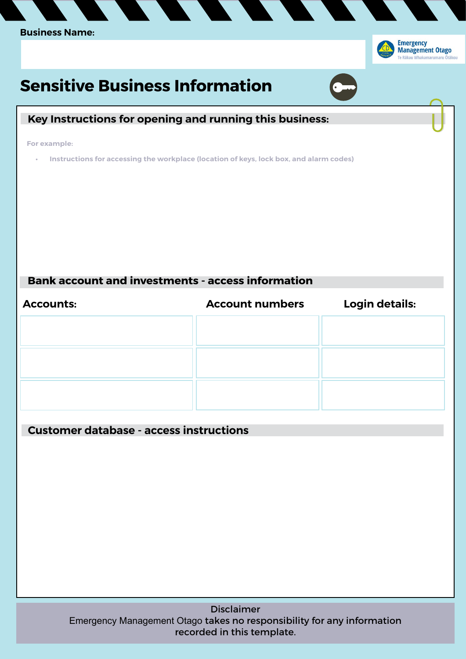

Disclaimer Emergency Management Otago takes no responsibility for any information recorded in this template.